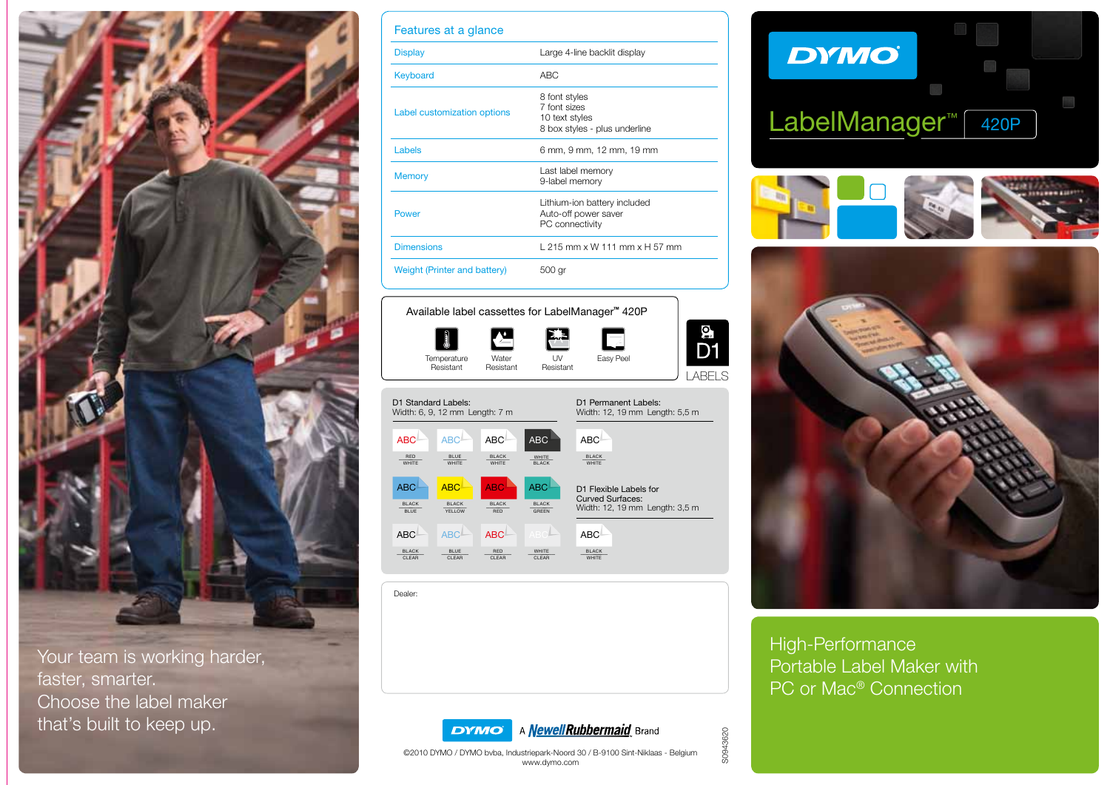

Your team is working harder, faster, smarter. Choose the label maker that's built to keep up.

| Features at a glance         |                                                                                  |
|------------------------------|----------------------------------------------------------------------------------|
| <b>Display</b>               | Large 4-line backlit display                                                     |
| Keyboard                     | ABC <sub></sub>                                                                  |
| Label customization options  | 8 font styles<br>7 font sizes<br>10 text styles<br>8 box styles - plus underline |
| Labels                       | 6 mm, 9 mm, 12 mm, 19 mm                                                         |
| <b>Memory</b>                | Last label memory<br>9-label memory                                              |
| Power                        | Lithium-ion battery included<br>Auto-off power saver<br>PC connectivity          |
| <b>Dimensions</b>            | L 215 mm x W 111 mm x H 57 mm                                                    |
| Weight (Printer and battery) | 500 gr                                                                           |



Available label cassettes for LabelManager**™** 420P

| <b>ABC</b><br><b>ABC</b><br>ABC<br><b>ABC</b>                                                                       | <b>ABC</b>                                        |
|---------------------------------------------------------------------------------------------------------------------|---------------------------------------------------|
| <b>RED</b><br><b>BLUE</b><br><b>BLACK</b><br>WHITE<br><b>WHITE</b><br>WHITE<br><b>BLACK</b><br><b>WHITE</b>         | <b>BLACK</b><br><b>WHITE</b>                      |
| <b>ABC</b><br><b>ABC</b><br><b>ABC</b><br><b>ABC</b>                                                                | D1 Flexible Labels for<br><b>Curved Surfaces:</b> |
| <b>BLACK</b><br><b>BLACK</b><br><b>BLACK</b><br><b>BLACK</b><br><b>BLUE</b><br>YELLOW<br><b>GREEN</b><br><b>RED</b> | Width: 12, 19 mm Length: 3,5 m                    |
| ABC <sup>I</sup><br><b>ABC</b><br><b>ABC</b><br>ABC                                                                 | <b>ABC</b>                                        |
| <b>RED</b><br><b>BLACK</b><br><b>BLUE</b><br>WHITE<br>CLEAR<br>CLEAR<br>CLEAR<br>CLEAR                              | <b>BLACK</b><br><b>WHITE</b>                      |

Dealer:

# **DYMO**









High-Performance Portable Label Maker with PC or Mac® Connection

S0943620 S0943620